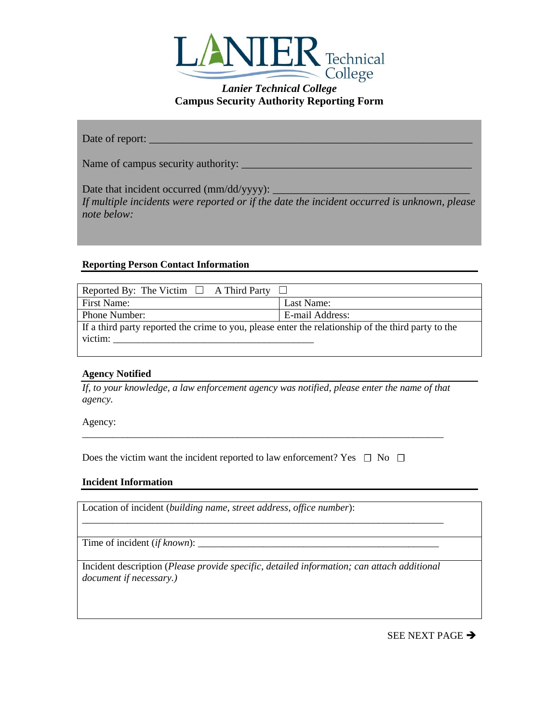

| Date of report: |  |
|-----------------|--|
|                 |  |

Name of campus security authority: \_\_\_\_\_\_\_\_\_\_\_\_\_\_\_\_\_\_\_\_\_\_\_\_\_\_\_\_\_\_\_\_\_\_\_\_\_\_\_\_\_\_

Date that incident occurred (mm/dd/yyyy): \_ *If multiple incidents were reported or if the date the incident occurred is unknown, please note below:*

## **Reporting Person Contact Information**

| Reported By: The Victim $\Box$ A Third Party                                                                   |                 |  |  |
|----------------------------------------------------------------------------------------------------------------|-----------------|--|--|
| First Name:                                                                                                    | Last Name:      |  |  |
| Phone Number:                                                                                                  | E-mail Address: |  |  |
| If a third party reported the crime to you, please enter the relationship of the third party to the<br>victim: |                 |  |  |
|                                                                                                                |                 |  |  |

## **Agency Notified**

*If, to your knowledge, a law enforcement agency was notified, please enter the name of that agency.* 

\_\_\_\_\_\_\_\_\_\_\_\_\_\_\_\_\_\_\_\_\_\_\_\_\_\_\_\_\_\_\_\_\_\_\_\_\_\_\_\_\_\_\_\_\_\_\_\_\_\_\_\_\_\_\_\_\_\_\_\_\_\_\_\_\_\_\_\_\_\_\_\_

Agency:

Does the victim want the incident reported to law enforcement? Yes  $\Box$  No  $\Box$ 

### **Incident Information**

Location of incident (*building name, street address, office number*):

Time of incident *(if known)*:

Incident description (*Please provide specific, detailed information; can attach additional document if necessary.)*

\_\_\_\_\_\_\_\_\_\_\_\_\_\_\_\_\_\_\_\_\_\_\_\_\_\_\_\_\_\_\_\_\_\_\_\_\_\_\_\_\_\_\_\_\_\_\_\_\_\_\_\_\_\_\_\_\_\_\_\_\_\_\_\_\_\_\_\_\_\_\_\_

SEE NEXT PAGE  $\rightarrow$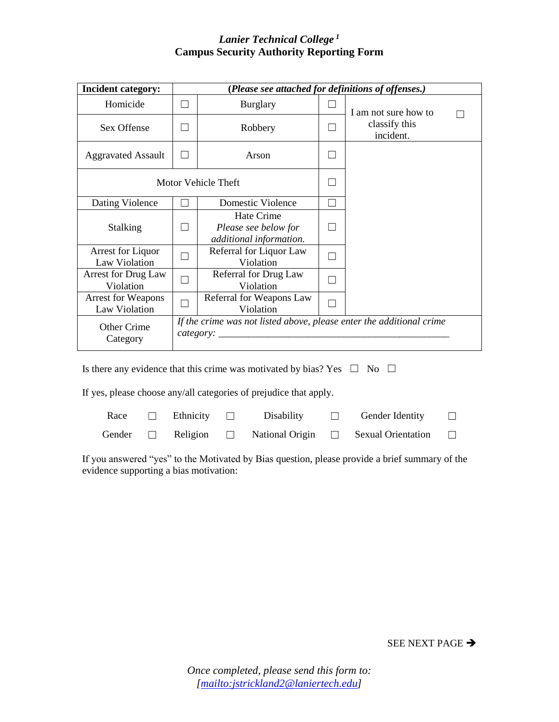| <b>Incident category:</b>                                                                       |               | (Please see attached for definitions of offenses.)            |  |                            |
|-------------------------------------------------------------------------------------------------|---------------|---------------------------------------------------------------|--|----------------------------|
| Homicide                                                                                        | $\mathcal{L}$ | <b>Burglary</b>                                               |  | I am not sure how to       |
| Sex Offense                                                                                     |               | Robbery                                                       |  | classify this<br>incident. |
| <b>Aggravated Assault</b>                                                                       |               | Arson                                                         |  |                            |
| Motor Vehicle Theft                                                                             |               |                                                               |  |                            |
| Dating Violence                                                                                 |               | Domestic Violence                                             |  |                            |
| <b>Stalking</b>                                                                                 |               | Hate Crime<br>Please see below for<br>additional information. |  |                            |
| Arrest for Liquor<br>Law Violation                                                              | $\mathcal{L}$ | Referral for Liquor Law<br>Violation                          |  |                            |
| Arrest for Drug Law<br>Violation                                                                |               | Referral for Drug Law<br>Violation                            |  |                            |
| <b>Arrest for Weapons</b><br>Law Violation                                                      |               | Referral for Weapons Law<br>Violation                         |  |                            |
| If the crime was not listed above, please enter the additional crime<br>Other Crime<br>Category |               |                                                               |  |                            |

Is there any evidence that this crime was motivated by bias? Yes  $\Box$  No  $\Box$ 

If yes, please choose any/all categories of prejudice that apply.

| Race | $\Box$ Ethnicity $\Box$ | Disability | $\Box$ Gender Identity                                                  | $\Box$ |
|------|-------------------------|------------|-------------------------------------------------------------------------|--------|
|      |                         |            | Gender $\Box$ Religion $\Box$ National Origin $\Box$ Sexual Orientation | $\Box$ |

If you answered "yes" to the Motivated by Bias question, please provide a brief summary of the evidence supporting a bias motivation:

SEE NEXT PAGE  $\rightarrow$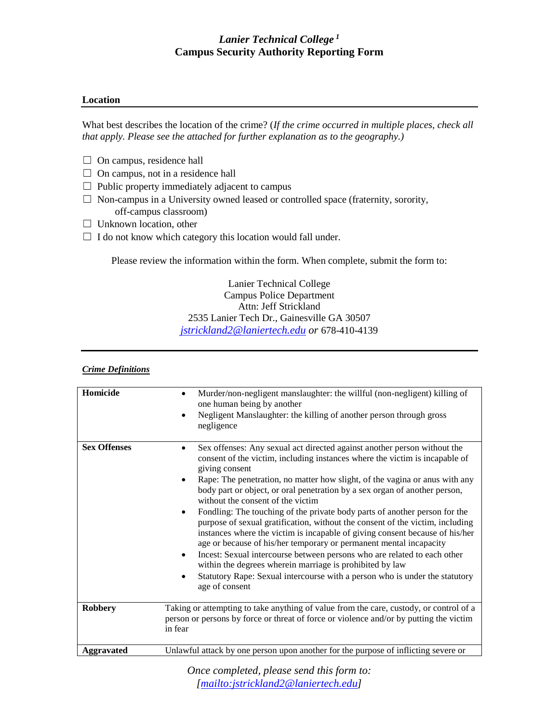### **Location**

What best describes the location of the crime? (*If the crime occurred in multiple places, check all that apply. Please see the attached for further explanation as to the geography.)*

- $\Box$  On campus, residence hall
- $\Box$  On campus, not in a residence hall
- $\Box$  Public property immediately adjacent to campus
- ☐ Non-campus in a University owned leased or controlled space (fraternity, sorority, off-campus classroom)
- $\Box$  Unknown location, other
- $\Box$  I do not know which category this location would fall under.

Please review the information within the form. When complete, submit the form to:

Lanier Technical College Campus Police Department Attn: Jeff Strickland 2535 Lanier Tech Dr., Gainesville GA 30507 *[jstrickland2@laniertech.edu](mailto:jstrickland2@laniertech.edu) or* 678-410-4139

### *Crime Definitions*

| Homicide            | Murder/non-negligent manslaughter: the willful (non-negligent) killing of<br>one human being by another<br>Negligent Manslaughter: the killing of another person through gross<br>negligence                                                                                                                                                                                                                                                                                                                                                                                                                                                                                                                                                                                                                                                                                                                                                             |
|---------------------|----------------------------------------------------------------------------------------------------------------------------------------------------------------------------------------------------------------------------------------------------------------------------------------------------------------------------------------------------------------------------------------------------------------------------------------------------------------------------------------------------------------------------------------------------------------------------------------------------------------------------------------------------------------------------------------------------------------------------------------------------------------------------------------------------------------------------------------------------------------------------------------------------------------------------------------------------------|
| <b>Sex Offenses</b> | Sex offenses: Any sexual act directed against another person without the<br>٠<br>consent of the victim, including instances where the victim is incapable of<br>giving consent<br>Rape: The penetration, no matter how slight, of the vagina or anus with any<br>٠<br>body part or object, or oral penetration by a sex organ of another person,<br>without the consent of the victim<br>Fondling: The touching of the private body parts of another person for the<br>purpose of sexual gratification, without the consent of the victim, including<br>instances where the victim is incapable of giving consent because of his/her<br>age or because of his/her temporary or permanent mental incapacity<br>Incest: Sexual intercourse between persons who are related to each other<br>٠<br>within the degrees wherein marriage is prohibited by law<br>Statutory Rape: Sexual intercourse with a person who is under the statutory<br>age of consent |
| <b>Robbery</b>      | Taking or attempting to take anything of value from the care, custody, or control of a<br>person or persons by force or threat of force or violence and/or by putting the victim<br>in fear                                                                                                                                                                                                                                                                                                                                                                                                                                                                                                                                                                                                                                                                                                                                                              |
| Aggravated          | Unlawful attack by one person upon another for the purpose of inflicting severe or                                                                                                                                                                                                                                                                                                                                                                                                                                                                                                                                                                                                                                                                                                                                                                                                                                                                       |

*Once completed, please send this form to: [\[mailto:jstrickland2@laniertech.edu\]](mailto:jstrickland2@laniertech.edu)*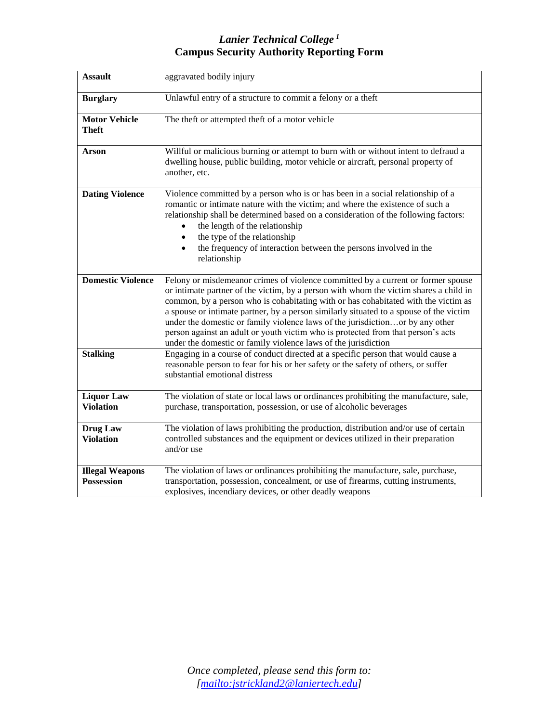| <b>Assault</b>                              | aggravated bodily injury                                                                                                                                                                                                                                                                                                                                                                                                                                                                                                                                                                         |
|---------------------------------------------|--------------------------------------------------------------------------------------------------------------------------------------------------------------------------------------------------------------------------------------------------------------------------------------------------------------------------------------------------------------------------------------------------------------------------------------------------------------------------------------------------------------------------------------------------------------------------------------------------|
| <b>Burglary</b>                             | Unlawful entry of a structure to commit a felony or a theft                                                                                                                                                                                                                                                                                                                                                                                                                                                                                                                                      |
| <b>Motor Vehicle</b><br>Theft               | The theft or attempted theft of a motor vehicle                                                                                                                                                                                                                                                                                                                                                                                                                                                                                                                                                  |
| Arson                                       | Willful or malicious burning or attempt to burn with or without intent to defraud a<br>dwelling house, public building, motor vehicle or aircraft, personal property of<br>another, etc.                                                                                                                                                                                                                                                                                                                                                                                                         |
| <b>Dating Violence</b>                      | Violence committed by a person who is or has been in a social relationship of a<br>romantic or intimate nature with the victim; and where the existence of such a<br>relationship shall be determined based on a consideration of the following factors:<br>the length of the relationship<br>the type of the relationship<br>the frequency of interaction between the persons involved in the<br>relationship                                                                                                                                                                                   |
| <b>Domestic Violence</b>                    | Felony or misdemeanor crimes of violence committed by a current or former spouse<br>or intimate partner of the victim, by a person with whom the victim shares a child in<br>common, by a person who is cohabitating with or has cohabitated with the victim as<br>a spouse or intimate partner, by a person similarly situated to a spouse of the victim<br>under the domestic or family violence laws of the jurisdictionor by any other<br>person against an adult or youth victim who is protected from that person's acts<br>under the domestic or family violence laws of the jurisdiction |
| <b>Stalking</b>                             | Engaging in a course of conduct directed at a specific person that would cause a<br>reasonable person to fear for his or her safety or the safety of others, or suffer<br>substantial emotional distress                                                                                                                                                                                                                                                                                                                                                                                         |
| <b>Liquor Law</b><br><b>Violation</b>       | The violation of state or local laws or ordinances prohibiting the manufacture, sale,<br>purchase, transportation, possession, or use of alcoholic beverages                                                                                                                                                                                                                                                                                                                                                                                                                                     |
| Drug Law<br><b>Violation</b>                | The violation of laws prohibiting the production, distribution and/or use of certain<br>controlled substances and the equipment or devices utilized in their preparation<br>and/or use                                                                                                                                                                                                                                                                                                                                                                                                           |
| <b>Illegal Weapons</b><br><b>Possession</b> | The violation of laws or ordinances prohibiting the manufacture, sale, purchase,<br>transportation, possession, concealment, or use of firearms, cutting instruments,<br>explosives, incendiary devices, or other deadly weapons                                                                                                                                                                                                                                                                                                                                                                 |